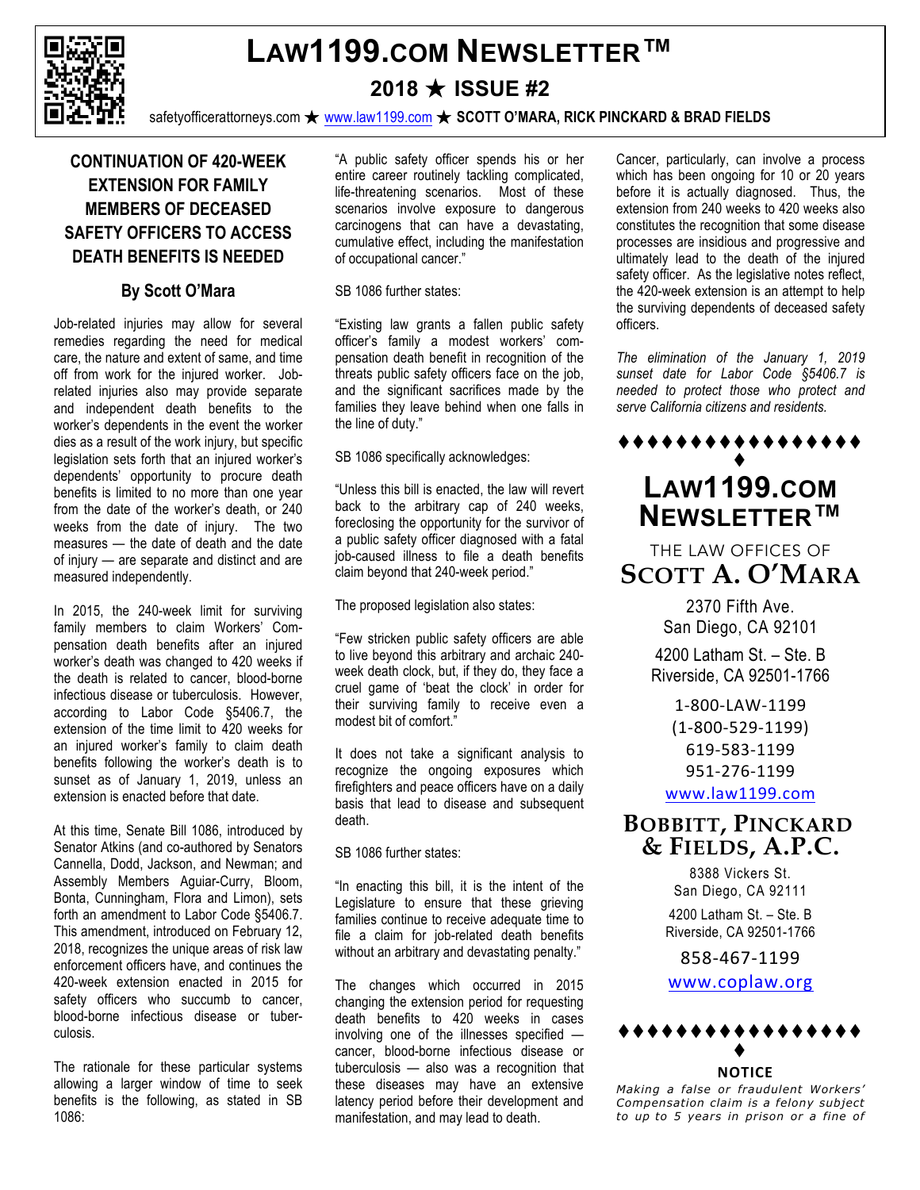

# **LAW1199.COM NEWSLETTER™**

**2018** ★ **ISSUE #2**

safetyofficerattorneys.com ★ www.law1199.com ★ **SCOTT O'MARA, RICK PINCKARD & BRAD FIELDS**

## **CONTINUATION OF 420-WEEK EXTENSION FOR FAMILY MEMBERS OF DECEASED SAFETY OFFICERS TO ACCESS DEATH BENEFITS IS NEEDED**

### **By Scott O'Mara**

Job-related injuries may allow for several remedies regarding the need for medical care, the nature and extent of same, and time off from work for the injured worker. Jobrelated injuries also may provide separate and independent death benefits to the worker's dependents in the event the worker dies as a result of the work injury, but specific legislation sets forth that an injured worker's dependents' opportunity to procure death benefits is limited to no more than one year from the date of the worker's death, or 240 weeks from the date of injury. The two measures — the date of death and the date of injury — are separate and distinct and are measured independently.

In 2015, the 240-week limit for surviving family members to claim Workers' Compensation death benefits after an injured worker's death was changed to 420 weeks if the death is related to cancer, blood-borne infectious disease or tuberculosis. However, according to Labor Code §5406.7, the extension of the time limit to 420 weeks for an injured worker's family to claim death benefits following the worker's death is to sunset as of January 1, 2019, unless an extension is enacted before that date.

At this time, Senate Bill 1086, introduced by Senator Atkins (and co-authored by Senators Cannella, Dodd, Jackson, and Newman; and Assembly Members Aguiar-Curry, Bloom, Bonta, Cunningham, Flora and Limon), sets forth an amendment to Labor Code §5406.7. This amendment, introduced on February 12, 2018, recognizes the unique areas of risk law enforcement officers have, and continues the 420-week extension enacted in 2015 for safety officers who succumb to cancer. blood-borne infectious disease or tuberculosis.

The rationale for these particular systems allowing a larger window of time to seek benefits is the following, as stated in SB 1086:

"A public safety officer spends his or her entire career routinely tackling complicated, life-threatening scenarios. Most of these scenarios involve exposure to dangerous carcinogens that can have a devastating, cumulative effect, including the manifestation of occupational cancer."

#### SB 1086 further states:

"Existing law grants a fallen public safety officer's family a modest workers' compensation death benefit in recognition of the threats public safety officers face on the job, and the significant sacrifices made by the families they leave behind when one falls in the line of duty."

SB 1086 specifically acknowledges:

"Unless this bill is enacted, the law will revert back to the arbitrary cap of 240 weeks, foreclosing the opportunity for the survivor of a public safety officer diagnosed with a fatal job-caused illness to file a death benefits claim beyond that 240-week period."

The proposed legislation also states:

"Few stricken public safety officers are able to live beyond this arbitrary and archaic 240 week death clock, but, if they do, they face a cruel game of 'beat the clock' in order for their surviving family to receive even a modest bit of comfort."

It does not take a significant analysis to recognize the ongoing exposures which firefighters and peace officers have on a daily basis that lead to disease and subsequent death.

SB 1086 further states:

"In enacting this bill, it is the intent of the Legislature to ensure that these grieving families continue to receive adequate time to file a claim for job-related death benefits without an arbitrary and devastating penalty."

The changes which occurred in 2015 changing the extension period for requesting death benefits to 420 weeks in cases involving one of the illnesses specified cancer, blood-borne infectious disease or tuberculosis — also was a recognition that these diseases may have an extensive latency period before their development and manifestation, and may lead to death.

Cancer, particularly, can involve a process which has been ongoing for 10 or 20 years before it is actually diagnosed. Thus, the extension from 240 weeks to 420 weeks also constitutes the recognition that some disease processes are insidious and progressive and ultimately lead to the death of the injured safety officer. As the legislative notes reflect, the 420-week extension is an attempt to help the surviving dependents of deceased safety officers.

*The elimination of the January 1, 2019 sunset date for Labor Code §5406.7 is needed to protect those who protect and serve California citizens and residents.* 

#### \*\*\*\*\*\*\*\*\*\*\*\*\*\*\*  $\bullet$

# **LAW1199.COM NEWSLETTER™**

THE LAW OFFICES OF **SCOTT A. O'MARA**

> 2370 Fifth Ave. San Diego, CA 92101

4200 Latham St. – Ste. B Riverside, CA 92501-1766

1-800-LAW-1199 (1-800-529-1199) 619-583-1199 951-276-1199 www.law1199.com

 **BOBBITT, PINCKARD & FIELDS, A.P.C.**

> 8388 Vickers St. San Diego, CA 92111 4200 Latham St. – Ste. B

Riverside, CA 92501-1766

858-467-1199

www.coplaw.org



**NOTICE**

*Making a false or fraudulent Workers' Compensation claim is a felony subject to up to 5 years in prison or a fine of*